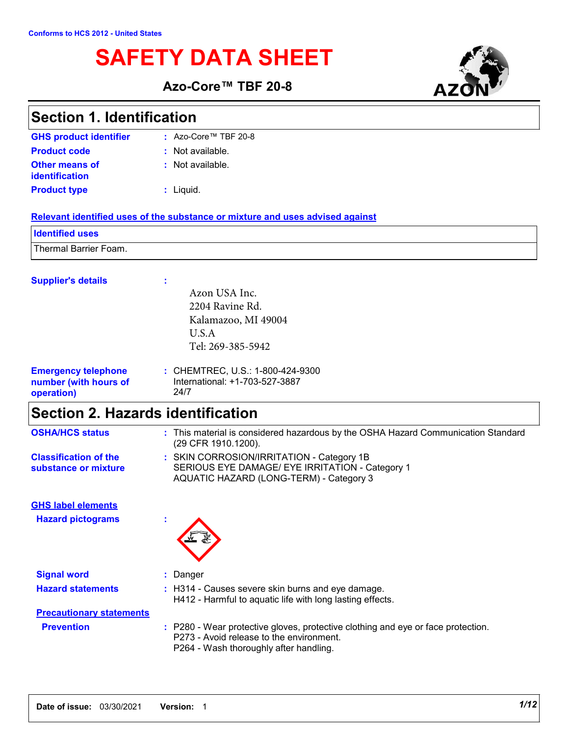# **SAFETY DATA SHEET**

**Azo-Core™ TBF 20-8**



### **Section 1. Identification**

**:** Not available. Liquid. **: GHS product identifier Other means of identification Product type :** Azo-Core™ TBF 20-8**Product code :** Not available.

#### **Relevant identified uses of the substance or mixture and uses advised against**

| <b>Identified uses</b> |  |
|------------------------|--|
| Thermal Barrier Foam.  |  |

#### **Supplier's details :**

|                                                                   | Azon USA Inc.                                                              |
|-------------------------------------------------------------------|----------------------------------------------------------------------------|
|                                                                   | 2204 Ravine Rd.                                                            |
|                                                                   | Kalamazoo, MI 49004                                                        |
|                                                                   | U.S.A                                                                      |
|                                                                   | Tel: 269-385-5942                                                          |
| <b>Emergency telephone</b><br>number (with hours of<br>operation) | : CHEMTREC, U.S.: 1-800-424-9300<br>International: +1-703-527-3887<br>24/7 |

## **Section 2. Hazards identification**

| <b>OSHA/HCS status</b>                               | : This material is considered hazardous by the OSHA Hazard Communication Standard<br>(29 CFR 1910.1200).                                                               |
|------------------------------------------------------|------------------------------------------------------------------------------------------------------------------------------------------------------------------------|
| <b>Classification of the</b><br>substance or mixture | : SKIN CORROSION/IRRITATION - Category 1B<br>SERIOUS EYE DAMAGE/ EYE IRRITATION - Category 1<br>AQUATIC HAZARD (LONG-TERM) - Category 3                                |
| <b>GHS label elements</b>                            |                                                                                                                                                                        |
| <b>Hazard pictograms</b>                             |                                                                                                                                                                        |
| <b>Signal word</b>                                   | : Danger                                                                                                                                                               |
| <b>Hazard statements</b>                             | : H314 - Causes severe skin burns and eye damage.<br>H412 - Harmful to aquatic life with long lasting effects.                                                         |
| <b>Precautionary statements</b>                      |                                                                                                                                                                        |
| <b>Prevention</b>                                    | : P280 - Wear protective gloves, protective clothing and eye or face protection.<br>P273 - Avoid release to the environment.<br>P264 - Wash thoroughly after handling. |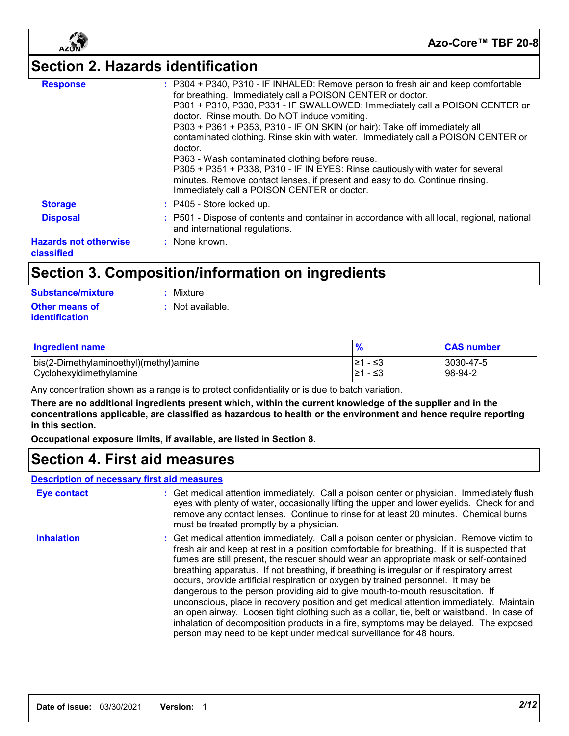

# **Section 2. Hazards identification**

| <b>Response</b>                            | : P304 + P340, P310 - IF INHALED: Remove person to fresh air and keep comfortable<br>for breathing. Immediately call a POISON CENTER or doctor.                                                               |
|--------------------------------------------|---------------------------------------------------------------------------------------------------------------------------------------------------------------------------------------------------------------|
|                                            | P301 + P310, P330, P331 - IF SWALLOWED: Immediately call a POISON CENTER or<br>doctor. Rinse mouth. Do NOT induce vomiting.                                                                                   |
|                                            | P303 + P361 + P353, P310 - IF ON SKIN (or hair): Take off immediately all                                                                                                                                     |
|                                            | contaminated clothing. Rinse skin with water. Immediately call a POISON CENTER or<br>doctor.                                                                                                                  |
|                                            | P363 - Wash contaminated clothing before reuse.                                                                                                                                                               |
|                                            | P305 + P351 + P338, P310 - IF IN EYES: Rinse cautiously with water for several<br>minutes. Remove contact lenses, if present and easy to do. Continue rinsing.<br>Immediately call a POISON CENTER or doctor. |
| <b>Storage</b>                             | : P405 - Store locked up.                                                                                                                                                                                     |
| <b>Disposal</b>                            | : P501 - Dispose of contents and container in accordance with all local, regional, national<br>and international regulations.                                                                                 |
| <b>Hazards not otherwise</b><br>classified | : None known.                                                                                                                                                                                                 |

## **Section 3. Composition/information on ingredients**

| Substance/mixture                       | : Mixture        |
|-----------------------------------------|------------------|
| Other means of<br><b>identification</b> | : Not available. |

| Ingredient name                                                   | $\mathbf{0}$<br>70     | <b>CAS number</b>      |
|-------------------------------------------------------------------|------------------------|------------------------|
| bis(2-Dimethylaminoethyl)(methyl)amine<br>Cyclohexyldimethylamine | - ≤3<br>≥1<br>⊩≥1 - ≤3 | 3030-47-5<br>$98-94-2$ |

Any concentration shown as a range is to protect confidentiality or is due to batch variation.

**There are no additional ingredients present which, within the current knowledge of the supplier and in the concentrations applicable, are classified as hazardous to health or the environment and hence require reporting in this section.**

**Occupational exposure limits, if available, are listed in Section 8.**

### **Section 4. First aid measures**

#### **Description of necessary first aid measures**

| <b>Eye contact</b> | : Get medical attention immediately. Call a poison center or physician. Immediately flush<br>eyes with plenty of water, occasionally lifting the upper and lower eyelids. Check for and<br>remove any contact lenses. Continue to rinse for at least 20 minutes. Chemical burns<br>must be treated promptly by a physician.                                                                                                                                                                                                                                                                                                                                                                                                                                                                                                                                                                                  |
|--------------------|--------------------------------------------------------------------------------------------------------------------------------------------------------------------------------------------------------------------------------------------------------------------------------------------------------------------------------------------------------------------------------------------------------------------------------------------------------------------------------------------------------------------------------------------------------------------------------------------------------------------------------------------------------------------------------------------------------------------------------------------------------------------------------------------------------------------------------------------------------------------------------------------------------------|
| <b>Inhalation</b>  | : Get medical attention immediately. Call a poison center or physician. Remove victim to<br>fresh air and keep at rest in a position comfortable for breathing. If it is suspected that<br>fumes are still present, the rescuer should wear an appropriate mask or self-contained<br>breathing apparatus. If not breathing, if breathing is irregular or if respiratory arrest<br>occurs, provide artificial respiration or oxygen by trained personnel. It may be<br>dangerous to the person providing aid to give mouth-to-mouth resuscitation. If<br>unconscious, place in recovery position and get medical attention immediately. Maintain<br>an open airway. Loosen tight clothing such as a collar, tie, belt or waistband. In case of<br>inhalation of decomposition products in a fire, symptoms may be delayed. The exposed<br>person may need to be kept under medical surveillance for 48 hours. |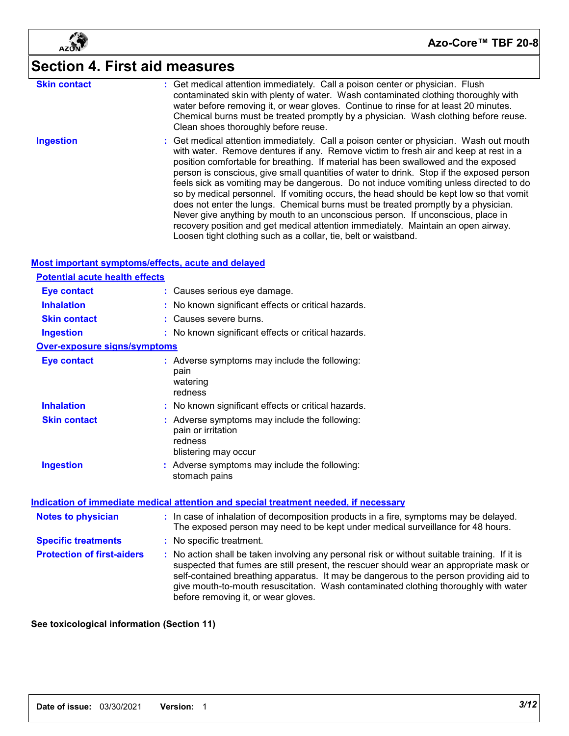

# **Section 4. First aid measures**

| <b>Skin contact</b>                                | : Get medical attention immediately. Call a poison center or physician. Flush<br>contaminated skin with plenty of water. Wash contaminated clothing thoroughly with<br>water before removing it, or wear gloves. Continue to rinse for at least 20 minutes.<br>Chemical burns must be treated promptly by a physician. Wash clothing before reuse.<br>Clean shoes thoroughly before reuse.                                                                                                                                                                                                                                                                                                                                                                                                                                                                                        |
|----------------------------------------------------|-----------------------------------------------------------------------------------------------------------------------------------------------------------------------------------------------------------------------------------------------------------------------------------------------------------------------------------------------------------------------------------------------------------------------------------------------------------------------------------------------------------------------------------------------------------------------------------------------------------------------------------------------------------------------------------------------------------------------------------------------------------------------------------------------------------------------------------------------------------------------------------|
| <b>Ingestion</b>                                   | Get medical attention immediately. Call a poison center or physician. Wash out mouth<br>with water. Remove dentures if any. Remove victim to fresh air and keep at rest in a<br>position comfortable for breathing. If material has been swallowed and the exposed<br>person is conscious, give small quantities of water to drink. Stop if the exposed person<br>feels sick as vomiting may be dangerous. Do not induce vomiting unless directed to do<br>so by medical personnel. If vomiting occurs, the head should be kept low so that vomit<br>does not enter the lungs. Chemical burns must be treated promptly by a physician.<br>Never give anything by mouth to an unconscious person. If unconscious, place in<br>recovery position and get medical attention immediately. Maintain an open airway.<br>Loosen tight clothing such as a collar, tie, belt or waistband. |
| Most important symptoms/effects, acute and delayed |                                                                                                                                                                                                                                                                                                                                                                                                                                                                                                                                                                                                                                                                                                                                                                                                                                                                                   |
| <b>Potential acute health effects</b>              |                                                                                                                                                                                                                                                                                                                                                                                                                                                                                                                                                                                                                                                                                                                                                                                                                                                                                   |
| <b>Eye contact</b><br><b>Inhalation</b>            | : Causes serious eye damage.                                                                                                                                                                                                                                                                                                                                                                                                                                                                                                                                                                                                                                                                                                                                                                                                                                                      |
| <b>Skin contact</b>                                | No known significant effects or critical hazards.<br>: Causes severe burns.                                                                                                                                                                                                                                                                                                                                                                                                                                                                                                                                                                                                                                                                                                                                                                                                       |
| <b>Ingestion</b>                                   | : No known significant effects or critical hazards.                                                                                                                                                                                                                                                                                                                                                                                                                                                                                                                                                                                                                                                                                                                                                                                                                               |
| <b>Over-exposure signs/symptoms</b>                |                                                                                                                                                                                                                                                                                                                                                                                                                                                                                                                                                                                                                                                                                                                                                                                                                                                                                   |
| <b>Eye contact</b>                                 | : Adverse symptoms may include the following:<br>pain<br>watering<br>redness                                                                                                                                                                                                                                                                                                                                                                                                                                                                                                                                                                                                                                                                                                                                                                                                      |
| <b>Inhalation</b>                                  | : No known significant effects or critical hazards.                                                                                                                                                                                                                                                                                                                                                                                                                                                                                                                                                                                                                                                                                                                                                                                                                               |
| <b>Skin contact</b>                                | : Adverse symptoms may include the following:<br>pain or irritation<br>redness<br>blistering may occur                                                                                                                                                                                                                                                                                                                                                                                                                                                                                                                                                                                                                                                                                                                                                                            |
| <b>Ingestion</b>                                   | : Adverse symptoms may include the following:<br>stomach pains                                                                                                                                                                                                                                                                                                                                                                                                                                                                                                                                                                                                                                                                                                                                                                                                                    |
|                                                    | Indication of immediate medical attention and special treatment needed, if necessary                                                                                                                                                                                                                                                                                                                                                                                                                                                                                                                                                                                                                                                                                                                                                                                              |
| <b>Notes to physician</b>                          | : In case of inhalation of decomposition products in a fire, symptoms may be delayed.<br>The exposed person may need to be kept under medical surveillance for 48 hours.                                                                                                                                                                                                                                                                                                                                                                                                                                                                                                                                                                                                                                                                                                          |
| <b>Specific treatments</b>                         | : No specific treatment.                                                                                                                                                                                                                                                                                                                                                                                                                                                                                                                                                                                                                                                                                                                                                                                                                                                          |
| <b>Protection of first-aiders</b>                  | : No action shall be taken involving any personal risk or without suitable training. If it is<br>suspected that fumes are still present, the rescuer should wear an appropriate mask or<br>self-contained breathing apparatus. It may be dangerous to the person providing aid to<br>give mouth-to-mouth resuscitation. Wash contaminated clothing thoroughly with water<br>before removing it, or wear gloves.                                                                                                                                                                                                                                                                                                                                                                                                                                                                   |
|                                                    |                                                                                                                                                                                                                                                                                                                                                                                                                                                                                                                                                                                                                                                                                                                                                                                                                                                                                   |

#### **See toxicological information (Section 11)**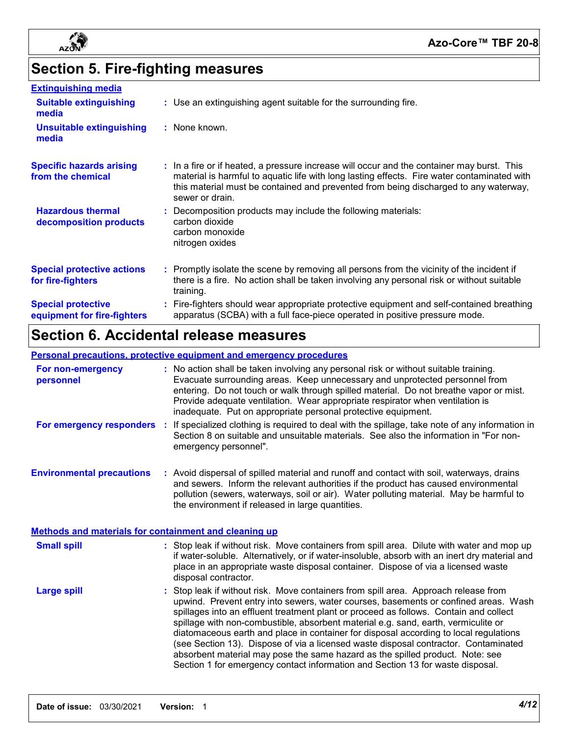

# **Section 5. Fire-fighting measures**

| <b>Extinguishing media</b>                               |                                                                                                                                                                                                                                                                                                      |
|----------------------------------------------------------|------------------------------------------------------------------------------------------------------------------------------------------------------------------------------------------------------------------------------------------------------------------------------------------------------|
| <b>Suitable extinguishing</b><br>media                   | : Use an extinguishing agent suitable for the surrounding fire.                                                                                                                                                                                                                                      |
| <b>Unsuitable extinguishing</b><br>media                 | : None known.                                                                                                                                                                                                                                                                                        |
| <b>Specific hazards arising</b><br>from the chemical     | : In a fire or if heated, a pressure increase will occur and the container may burst. This<br>material is harmful to aquatic life with long lasting effects. Fire water contaminated with<br>this material must be contained and prevented from being discharged to any waterway,<br>sewer or drain. |
| <b>Hazardous thermal</b><br>decomposition products       | Decomposition products may include the following materials:<br>carbon dioxide<br>carbon monoxide<br>nitrogen oxides                                                                                                                                                                                  |
| <b>Special protective actions</b><br>for fire-fighters   | Promptly isolate the scene by removing all persons from the vicinity of the incident if<br>there is a fire. No action shall be taken involving any personal risk or without suitable<br>training.                                                                                                    |
| <b>Special protective</b><br>equipment for fire-fighters | Fire-fighters should wear appropriate protective equipment and self-contained breathing<br>apparatus (SCBA) with a full face-piece operated in positive pressure mode.                                                                                                                               |

# **Section 6. Accidental release measures**

#### **Personal precautions, protective equipment and emergency procedures**

| For non-emergency<br>personnel                        | No action shall be taken involving any personal risk or without suitable training.<br>Evacuate surrounding areas. Keep unnecessary and unprotected personnel from<br>entering. Do not touch or walk through spilled material. Do not breathe vapor or mist.<br>Provide adequate ventilation. Wear appropriate respirator when ventilation is<br>inadequate. Put on appropriate personal protective equipment.                                                                                                                                                                                                                                                                                              |
|-------------------------------------------------------|------------------------------------------------------------------------------------------------------------------------------------------------------------------------------------------------------------------------------------------------------------------------------------------------------------------------------------------------------------------------------------------------------------------------------------------------------------------------------------------------------------------------------------------------------------------------------------------------------------------------------------------------------------------------------------------------------------|
| For emergency responders :                            | If specialized clothing is required to deal with the spillage, take note of any information in<br>Section 8 on suitable and unsuitable materials. See also the information in "For non-<br>emergency personnel".                                                                                                                                                                                                                                                                                                                                                                                                                                                                                           |
| <b>Environmental precautions</b>                      | : Avoid dispersal of spilled material and runoff and contact with soil, waterways, drains<br>and sewers. Inform the relevant authorities if the product has caused environmental<br>pollution (sewers, waterways, soil or air). Water polluting material. May be harmful to<br>the environment if released in large quantities.                                                                                                                                                                                                                                                                                                                                                                            |
| Methods and materials for containment and cleaning up |                                                                                                                                                                                                                                                                                                                                                                                                                                                                                                                                                                                                                                                                                                            |
| <b>Small spill</b>                                    | Stop leak if without risk. Move containers from spill area. Dilute with water and mop up<br>if water-soluble. Alternatively, or if water-insoluble, absorb with an inert dry material and<br>place in an appropriate waste disposal container. Dispose of via a licensed waste<br>disposal contractor.                                                                                                                                                                                                                                                                                                                                                                                                     |
| <b>Large spill</b>                                    | Stop leak if without risk. Move containers from spill area. Approach release from<br>upwind. Prevent entry into sewers, water courses, basements or confined areas. Wash<br>spillages into an effluent treatment plant or proceed as follows. Contain and collect<br>spillage with non-combustible, absorbent material e.g. sand, earth, vermiculite or<br>diatomaceous earth and place in container for disposal according to local regulations<br>(see Section 13). Dispose of via a licensed waste disposal contractor. Contaminated<br>absorbent material may pose the same hazard as the spilled product. Note: see<br>Section 1 for emergency contact information and Section 13 for waste disposal. |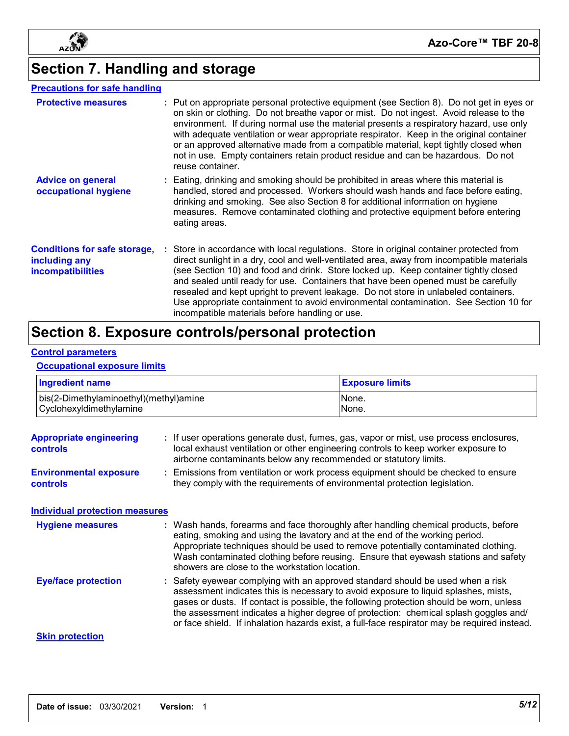

**Azo-Core™ TBF 20-8**

# **Section 7. Handling and storage**

#### **Precautions for safe handling**

| <b>Protective measures</b>                                                       | : Put on appropriate personal protective equipment (see Section 8). Do not get in eyes or<br>on skin or clothing. Do not breathe vapor or mist. Do not ingest. Avoid release to the<br>environment. If during normal use the material presents a respiratory hazard, use only<br>with adequate ventilation or wear appropriate respirator. Keep in the original container<br>or an approved alternative made from a compatible material, kept tightly closed when<br>not in use. Empty containers retain product residue and can be hazardous. Do not<br>reuse container.                           |
|----------------------------------------------------------------------------------|-----------------------------------------------------------------------------------------------------------------------------------------------------------------------------------------------------------------------------------------------------------------------------------------------------------------------------------------------------------------------------------------------------------------------------------------------------------------------------------------------------------------------------------------------------------------------------------------------------|
| <b>Advice on general</b><br>occupational hygiene                                 | : Eating, drinking and smoking should be prohibited in areas where this material is<br>handled, stored and processed. Workers should wash hands and face before eating,<br>drinking and smoking. See also Section 8 for additional information on hygiene<br>measures. Remove contaminated clothing and protective equipment before entering<br>eating areas.                                                                                                                                                                                                                                       |
| <b>Conditions for safe storage,</b><br>including any<br><b>incompatibilities</b> | : Store in accordance with local regulations. Store in original container protected from<br>direct sunlight in a dry, cool and well-ventilated area, away from incompatible materials<br>(see Section 10) and food and drink. Store locked up. Keep container tightly closed<br>and sealed until ready for use. Containers that have been opened must be carefully<br>resealed and kept upright to prevent leakage. Do not store in unlabeled containers.<br>Use appropriate containment to avoid environmental contamination. See Section 10 for<br>incompatible materials before handling or use. |

## **Section 8. Exposure controls/personal protection**

#### **Control parameters**

#### **Occupational exposure limits**

| <b>Ingredient name</b>                                            |  |                                                                                                                                                                                                                                                                                                                                                                                                                                                         | <b>Exposure limits</b>                                                                                                                                                       |
|-------------------------------------------------------------------|--|---------------------------------------------------------------------------------------------------------------------------------------------------------------------------------------------------------------------------------------------------------------------------------------------------------------------------------------------------------------------------------------------------------------------------------------------------------|------------------------------------------------------------------------------------------------------------------------------------------------------------------------------|
| bis(2-Dimethylaminoethyl)(methyl)amine<br>Cyclohexyldimethylamine |  |                                                                                                                                                                                                                                                                                                                                                                                                                                                         | None.<br>None.                                                                                                                                                               |
| <b>Appropriate engineering</b><br>controls                        |  | airborne contaminants below any recommended or statutory limits.                                                                                                                                                                                                                                                                                                                                                                                        | : If user operations generate dust, fumes, gas, vapor or mist, use process enclosures,<br>local exhaust ventilation or other engineering controls to keep worker exposure to |
| <b>Environmental exposure</b><br>controls                         |  | Emissions from ventilation or work process equipment should be checked to ensure<br>they comply with the requirements of environmental protection legislation.                                                                                                                                                                                                                                                                                          |                                                                                                                                                                              |
| <b>Individual protection measures</b>                             |  |                                                                                                                                                                                                                                                                                                                                                                                                                                                         |                                                                                                                                                                              |
| <b>Hygiene measures</b>                                           |  | : Wash hands, forearms and face thoroughly after handling chemical products, before<br>eating, smoking and using the lavatory and at the end of the working period.<br>Appropriate techniques should be used to remove potentially contaminated clothing.<br>Wash contaminated clothing before reusing. Ensure that eyewash stations and safety<br>showers are close to the workstation location.                                                       |                                                                                                                                                                              |
| <b>Eye/face protection</b>                                        |  | Safety eyewear complying with an approved standard should be used when a risk<br>assessment indicates this is necessary to avoid exposure to liquid splashes, mists,<br>gases or dusts. If contact is possible, the following protection should be worn, unless<br>the assessment indicates a higher degree of protection: chemical splash goggles and/<br>or face shield. If inhalation hazards exist, a full-face respirator may be required instead. |                                                                                                                                                                              |
| <b>Skin protection</b>                                            |  |                                                                                                                                                                                                                                                                                                                                                                                                                                                         |                                                                                                                                                                              |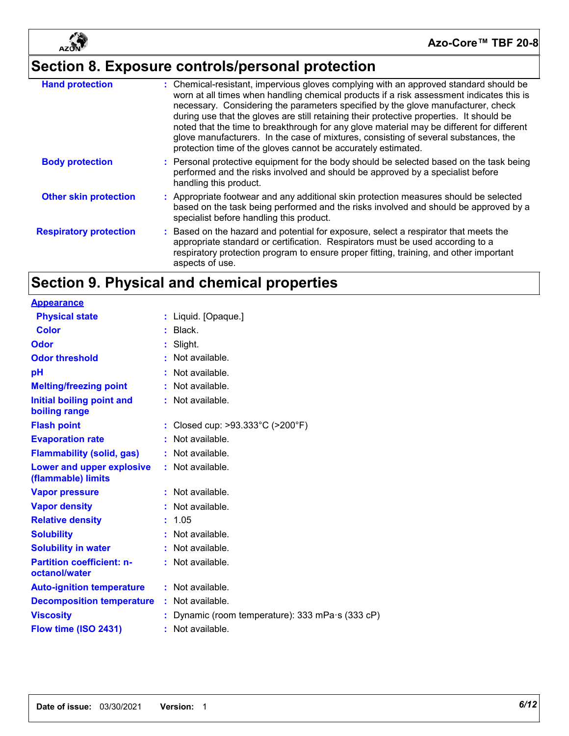

# **Section 8. Exposure controls/personal protection**

| <b>Hand protection</b>        | : Chemical-resistant, impervious gloves complying with an approved standard should be<br>worn at all times when handling chemical products if a risk assessment indicates this is<br>necessary. Considering the parameters specified by the glove manufacturer, check<br>during use that the gloves are still retaining their protective properties. It should be<br>noted that the time to breakthrough for any glove material may be different for different<br>glove manufacturers. In the case of mixtures, consisting of several substances, the<br>protection time of the gloves cannot be accurately estimated. |
|-------------------------------|------------------------------------------------------------------------------------------------------------------------------------------------------------------------------------------------------------------------------------------------------------------------------------------------------------------------------------------------------------------------------------------------------------------------------------------------------------------------------------------------------------------------------------------------------------------------------------------------------------------------|
| <b>Body protection</b>        | : Personal protective equipment for the body should be selected based on the task being<br>performed and the risks involved and should be approved by a specialist before<br>handling this product.                                                                                                                                                                                                                                                                                                                                                                                                                    |
| <b>Other skin protection</b>  | : Appropriate footwear and any additional skin protection measures should be selected<br>based on the task being performed and the risks involved and should be approved by a<br>specialist before handling this product.                                                                                                                                                                                                                                                                                                                                                                                              |
| <b>Respiratory protection</b> | : Based on the hazard and potential for exposure, select a respirator that meets the<br>appropriate standard or certification. Respirators must be used according to a<br>respiratory protection program to ensure proper fitting, training, and other important<br>aspects of use.                                                                                                                                                                                                                                                                                                                                    |

# **Section 9. Physical and chemical properties**

| <b>Appearance</b>                                 |                                                |
|---------------------------------------------------|------------------------------------------------|
| <b>Physical state</b>                             | : Liquid. [Opaque.]                            |
| Color                                             | Black.                                         |
| Odor                                              | Slight.                                        |
| <b>Odor threshold</b>                             | : Not available.                               |
| рH                                                | Not available.                                 |
| <b>Melting/freezing point</b>                     | Not available.                                 |
| Initial boiling point and<br>boiling range        | : Not available.                               |
| <b>Flash point</b>                                | Closed cup: >93.333°C (>200°F)                 |
| <b>Evaporation rate</b>                           | Not available.                                 |
| <b>Flammability (solid, gas)</b>                  | : Not available.                               |
| Lower and upper explosive<br>(flammable) limits   | : Not available.                               |
| <b>Vapor pressure</b>                             | : Not available.                               |
| <b>Vapor density</b>                              | : Not available.                               |
| <b>Relative density</b>                           | 1.05                                           |
| <b>Solubility</b>                                 | $:$ Not available.                             |
| <b>Solubility in water</b>                        | $:$ Not available.                             |
| <b>Partition coefficient: n-</b><br>octanol/water | $:$ Not available.                             |
| <b>Auto-ignition temperature</b>                  | $:$ Not available.                             |
| <b>Decomposition temperature</b>                  | Not available.                                 |
| <b>Viscosity</b>                                  | Dynamic (room temperature): 333 mPa s (333 cP) |
| Flow time (ISO 2431)                              | : Not available.                               |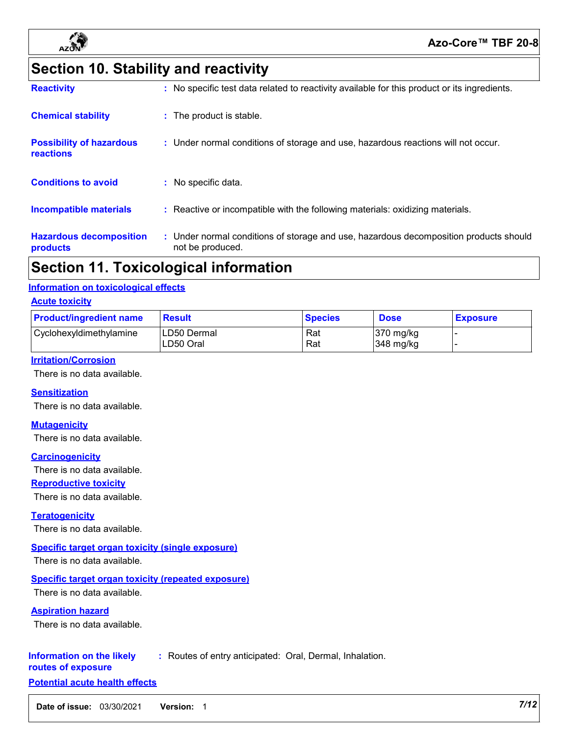

# **Section 10. Stability and reactivity**

| <b>Chemical stability</b>                    | : The product is stable.                                                                                  |
|----------------------------------------------|-----------------------------------------------------------------------------------------------------------|
| <b>Possibility of hazardous</b><br>reactions | : Under normal conditions of storage and use, hazardous reactions will not occur.                         |
| <b>Conditions to avoid</b>                   | : No specific data.                                                                                       |
| Incompatible materials                       | : Reactive or incompatible with the following materials: oxidizing materials.                             |
| <b>Hazardous decomposition</b><br>products   | : Under normal conditions of storage and use, hazardous decomposition products should<br>not be produced. |

### **Section 11. Toxicological information**

#### **Information on toxicological effects**

#### **Acute toxicity**

| <b>Product/ingredient name</b> | <b>Result</b>            | <b>Species</b> | <b>Dose</b>              | <b>Exposure</b> |
|--------------------------------|--------------------------|----------------|--------------------------|-----------------|
| Cyclohexyldimethylamine        | LD50 Dermal<br>LD50 Oral | Rat<br>Rat     | 370 mg/kg<br>$348$ mg/kg |                 |

#### **Irritation/Corrosion**

There is no data available.

#### **Sensitization**

There is no data available.

#### **Mutagenicity**

There is no data available.

#### **Carcinogenicity**

There is no data available.

#### **Reproductive toxicity**

There is no data available.

#### **Teratogenicity**

There is no data available.

#### **Specific target organ toxicity (single exposure)**

There is no data available.

#### **Specific target organ toxicity (repeated exposure)**

There is no data available.

#### **Aspiration hazard**

There is no data available.

#### **Information on the likely :** Routes of entry anticipated: Oral, Dermal, Inhalation.

#### **routes of exposure Potential acute health effects**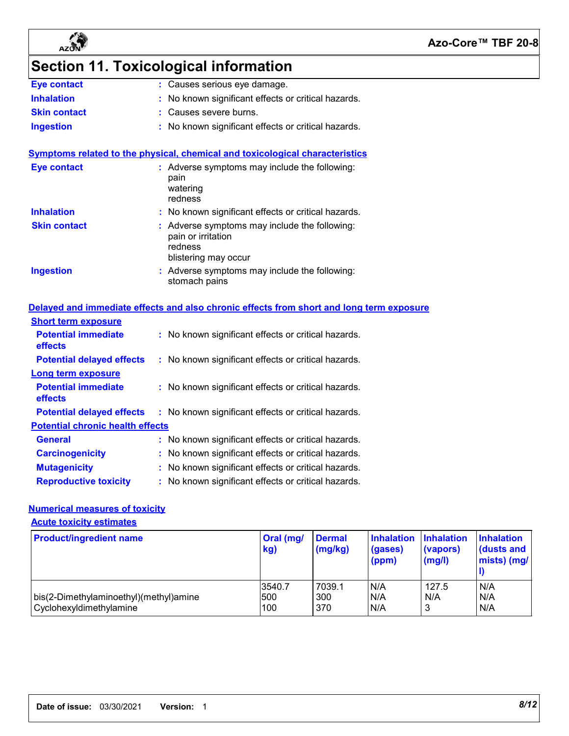



# **Section 11. Toxicological information**

| Eye contact         | : Causes serious eye damage.                        |
|---------------------|-----------------------------------------------------|
| <b>Inhalation</b>   | : No known significant effects or critical hazards. |
| <b>Skin contact</b> | : Causes severe burns.                              |
| <b>Ingestion</b>    | : No known significant effects or critical hazards. |

**Symptoms related to the physical, chemical and toxicological characteristics**

| <b>Eye contact</b>  | : Adverse symptoms may include the following:<br>pain<br>watering<br>redness                           |
|---------------------|--------------------------------------------------------------------------------------------------------|
| <b>Inhalation</b>   | : No known significant effects or critical hazards.                                                    |
| <b>Skin contact</b> | : Adverse symptoms may include the following:<br>pain or irritation<br>redness<br>blistering may occur |
| <b>Ingestion</b>    | : Adverse symptoms may include the following:<br>stomach pains                                         |

|                                              | Delayed and immediate effects and also chronic effects from short and long term exposure |  |  |  |  |
|----------------------------------------------|------------------------------------------------------------------------------------------|--|--|--|--|
| <b>Short term exposure</b>                   |                                                                                          |  |  |  |  |
| <b>Potential immediate</b><br><b>effects</b> | : No known significant effects or critical hazards.                                      |  |  |  |  |
| <b>Potential delayed effects</b>             | : No known significant effects or critical hazards.                                      |  |  |  |  |
| Long term exposure                           |                                                                                          |  |  |  |  |
| <b>Potential immediate</b><br>effects        | : No known significant effects or critical hazards.                                      |  |  |  |  |
| <b>Potential delayed effects</b>             | : No known significant effects or critical hazards.                                      |  |  |  |  |
| <b>Potential chronic health effects</b>      |                                                                                          |  |  |  |  |
| General                                      | : No known significant effects or critical hazards.                                      |  |  |  |  |
| <b>Carcinogenicity</b>                       | : No known significant effects or critical hazards.                                      |  |  |  |  |
| <b>Mutagenicity</b>                          | : No known significant effects or critical hazards.                                      |  |  |  |  |
| <b>Reproductive toxicity</b>                 | : No known significant effects or critical hazards.                                      |  |  |  |  |

#### **Numerical measures of toxicity**

**Acute toxicity estimates**

| <b>Product/ingredient name</b>                                    | Oral (mg/<br>kg)     | <b>Dermal</b><br>(mg/kg) | <b>Inhalation</b><br>(gases)<br>(ppm) | <b>Inhalation</b><br>(vapors)<br>(mg/l) | <b>Inhalation</b><br>$\blacksquare$ (dusts and<br>mists) (mg/ |
|-------------------------------------------------------------------|----------------------|--------------------------|---------------------------------------|-----------------------------------------|---------------------------------------------------------------|
| bis(2-Dimethylaminoethyl)(methyl)amine<br>Cyclohexyldimethylamine | 3540.7<br>500<br>100 | 7039.1<br>300<br>370     | N/A<br>IN/A<br>N/A                    | 127.5<br>N/A<br>3                       | N/A<br>N/A<br>N/A                                             |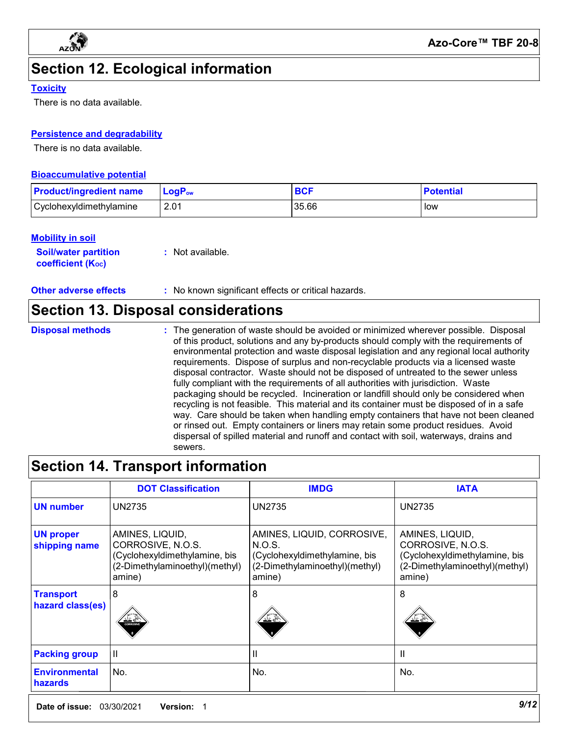

# **Section 12. Ecological information**

#### **Toxicity**

There is no data available.

#### **Persistence and degradability**

There is no data available.

#### **Bioaccumulative potential**

| <b>Product/ingredient name</b> | <b>LogP</b> <sub>ow</sub> | <b>BCI</b> | <b>Potential</b> |
|--------------------------------|---------------------------|------------|------------------|
| Cyclohexyldimethylamine        | 2.01                      | 35.66      | low              |

#### **Mobility in soil**

| <b>Soil/water partition</b>    | $:$ Not available. |
|--------------------------------|--------------------|
| coefficient (K <sub>oc</sub> ) |                    |

**Other adverse effects** : No known significant effects or critical hazards.

### **Section 13. Disposal considerations**

| <b>Disposal methods</b> | : The generation of waste should be avoided or minimized wherever possible. Disposal<br>of this product, solutions and any by-products should comply with the requirements of |
|-------------------------|-------------------------------------------------------------------------------------------------------------------------------------------------------------------------------|
|                         | environmental protection and waste disposal legislation and any regional local authority                                                                                      |
|                         | requirements. Dispose of surplus and non-recyclable products via a licensed waste                                                                                             |
|                         | disposal contractor. Waste should not be disposed of untreated to the sewer unless                                                                                            |
|                         | fully compliant with the requirements of all authorities with jurisdiction. Waste                                                                                             |
|                         | packaging should be recycled. Incineration or landfill should only be considered when                                                                                         |
|                         | recycling is not feasible. This material and its container must be disposed of in a safe                                                                                      |
|                         | way. Care should be taken when handling empty containers that have not been cleaner                                                                                           |

and its container must be disposed of in a safe way. Care should be taken when handling empty containers that have not been cleaned or rinsed out. Empty containers or liners may retain some product residues. Avoid dispersal of spilled material and runoff and contact with soil, waterways, drains and sewers.

### **Section 14. Transport information**

|                                        | <b>DOT Classification</b>                                                                                         | <b>IMDG</b>                                                                                                       | <b>IATA</b>                                                                                                       |
|----------------------------------------|-------------------------------------------------------------------------------------------------------------------|-------------------------------------------------------------------------------------------------------------------|-------------------------------------------------------------------------------------------------------------------|
| <b>UN number</b>                       | <b>UN2735</b>                                                                                                     | <b>UN2735</b>                                                                                                     | <b>UN2735</b>                                                                                                     |
| <b>UN proper</b><br>shipping name      | AMINES, LIQUID,<br>CORROSIVE, N.O.S.<br>(Cyclohexyldimethylamine, bis<br>(2-Dimethylaminoethyl)(methyl)<br>amine) | AMINES, LIQUID, CORROSIVE,<br>N.O.S.<br>(Cyclohexyldimethylamine, bis<br>(2-Dimethylaminoethyl)(methyl)<br>amine) | AMINES, LIQUID,<br>CORROSIVE, N.O.S.<br>(Cyclohexyldimethylamine, bis<br>(2-Dimethylaminoethyl)(methyl)<br>amine) |
| <b>Transport</b><br>hazard class(es)   | 8<br>'∠ ∈<br><b>CORROSIVE</b>                                                                                     | 8                                                                                                                 | 8                                                                                                                 |
| <b>Packing group</b>                   | Ш                                                                                                                 | Ш                                                                                                                 | $\mathsf{I}$                                                                                                      |
| <b>Environmental</b><br><b>hazards</b> | No.                                                                                                               | No.                                                                                                               | No.                                                                                                               |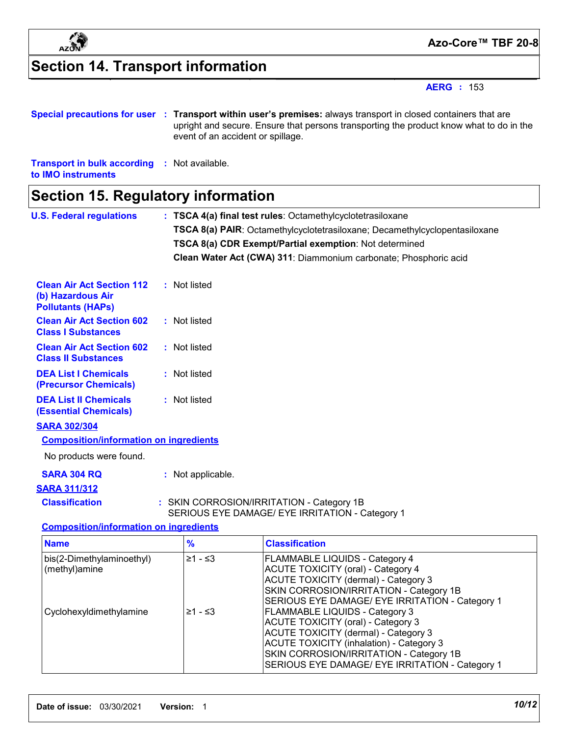

# **Section 14. Transport information**

**AERG :** 153

|  | Special precautions for user : Transport within user's premises: always transport in closed containers that are              |
|--|------------------------------------------------------------------------------------------------------------------------------|
|  | upright and secure. Ensure that persons transporting the product know what to do in the<br>event of an accident or spillage. |
|  |                                                                                                                              |

**Transport in bulk according :** Not available. **to IMO instruments**

### **Section 15. Regulatory information**

| <b>U.S. Federal regulations</b>                                                   |                   | : TSCA 4(a) final test rules: Octamethylcyclotetrasiloxane                                                                                                                             |
|-----------------------------------------------------------------------------------|-------------------|----------------------------------------------------------------------------------------------------------------------------------------------------------------------------------------|
|                                                                                   |                   | TSCA 8(a) PAIR: Octamethylcyclotetrasiloxane; Decamethylcyclopentasiloxane                                                                                                             |
|                                                                                   |                   | TSCA 8(a) CDR Exempt/Partial exemption: Not determined                                                                                                                                 |
|                                                                                   |                   | Clean Water Act (CWA) 311: Diammonium carbonate; Phosphoric acid                                                                                                                       |
| <b>Clean Air Act Section 112</b><br>(b) Hazardous Air<br><b>Pollutants (HAPs)</b> | : Not listed      |                                                                                                                                                                                        |
| <b>Clean Air Act Section 602</b><br><b>Class I Substances</b>                     | : Not listed      |                                                                                                                                                                                        |
| <b>Clean Air Act Section 602</b><br><b>Class II Substances</b>                    | : Not listed      |                                                                                                                                                                                        |
| <b>DEA List I Chemicals</b><br>(Precursor Chemicals)                              | : Not listed      |                                                                                                                                                                                        |
| <b>DEA List II Chemicals</b><br><b>(Essential Chemicals)</b>                      | : Not listed      |                                                                                                                                                                                        |
| <b>SARA 302/304</b>                                                               |                   |                                                                                                                                                                                        |
| <b>Composition/information on ingredients</b>                                     |                   |                                                                                                                                                                                        |
| No products were found.                                                           |                   |                                                                                                                                                                                        |
| <b>SARA 304 RQ</b>                                                                | : Not applicable. |                                                                                                                                                                                        |
| <b>SARA 311/312</b>                                                               |                   |                                                                                                                                                                                        |
| <b>Classification</b>                                                             |                   | : SKIN CORROSION/IRRITATION - Category 1B<br>SERIOUS EYE DAMAGE/ EYE IRRITATION - Category 1                                                                                           |
| <b>Composition/information on ingredients</b>                                     |                   |                                                                                                                                                                                        |
| <b>Name</b>                                                                       | %                 | <b>Classification</b>                                                                                                                                                                  |
| bis(2-Dimethylaminoethyl)                                                         | $≥1 - ≤3$         | FLAMMABLE LIQUIDS - Category 4                                                                                                                                                         |
| (methyl)amine                                                                     |                   | <b>ACUTE TOXICITY (oral) - Category 4</b><br><b>ACUTE TOXICITY (dermal) - Category 3</b><br>SKIN CORROSION/IRRITATION - Category 1B<br>SERIOUS EYE DAMAGE/ EYE IRRITATION - Category 1 |
| Cyclohexyldimethylamine                                                           | ≥1 - ≤3           | FLAMMABLE LIQUIDS - Category 3<br><b>ACUTE TOXICITY (oral) - Category 3</b>                                                                                                            |

ACUTE TOXICITY (dermal) - Category 3 ACUTE TOXICITY (inhalation) - Category 3 SKIN CORROSION/IRRITATION - Category 1B

SERIOUS EYE DAMAGE/ EYE IRRITATION - Category 1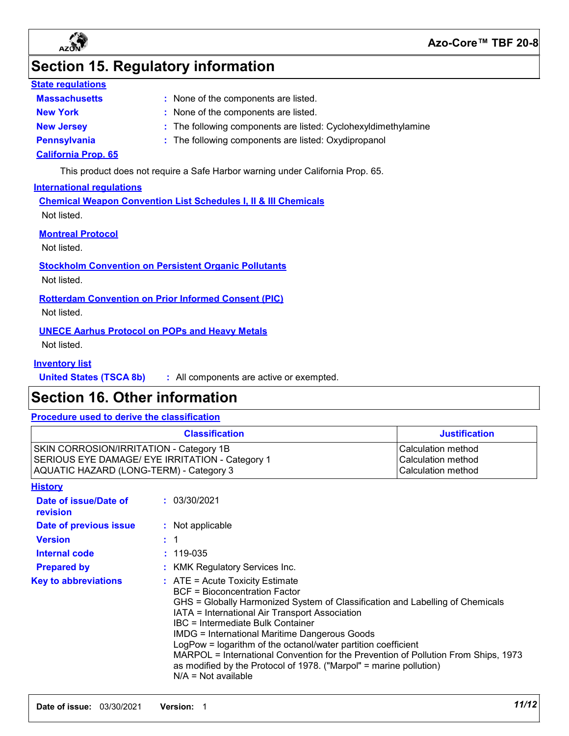

## **Section 15. Regulatory information**

#### **State regulations**

| <b>Massachusetts</b>       | : None of the components are listed.                           |
|----------------------------|----------------------------------------------------------------|
| <b>New York</b>            | : None of the components are listed.                           |
| <b>New Jersey</b>          | : The following components are listed: Cyclohexyldimethylamine |
| Pennsylvania               | : The following components are listed: Oxydipropanol           |
| <b>California Prop. 65</b> |                                                                |

This product does not require a Safe Harbor warning under California Prop. 65.

#### **International regulations**

**Chemical Weapon Convention List Schedules I, II & III Chemicals** Not listed.

**Montreal Protocol**

Not listed.

**Stockholm Convention on Persistent Organic Pollutants**

Not listed.

**Rotterdam Convention on Prior Informed Consent (PIC)**

Not listed.

**UNECE Aarhus Protocol on POPs and Heavy Metals**

Not listed.

#### **Inventory list**

**United States (TSCA 8b) :** All components are active or exempted.

### **Section 16. Other information**

#### **Procedure used to derive the classification**

| <b>Classification</b>                           | <b>Justification</b> |
|-------------------------------------------------|----------------------|
| SKIN CORROSION/IRRITATION - Category 1B         | Calculation method   |
| SERIOUS EYE DAMAGE/ EYE IRRITATION - Category 1 | Calculation method   |
| AQUATIC HAZARD (LONG-TERM) - Category 3         | Calculation method   |

| Historv |
|---------|
|---------|

|  | 0010010001 |
|--|------------|
|  |            |
|  |            |
|  |            |

| Date of issue/Date of<br><b>revision</b> | : 03/30/2021                                                                                                                                                                                                                                                                                                                                                                                                                                                                                                                                                             |
|------------------------------------------|--------------------------------------------------------------------------------------------------------------------------------------------------------------------------------------------------------------------------------------------------------------------------------------------------------------------------------------------------------------------------------------------------------------------------------------------------------------------------------------------------------------------------------------------------------------------------|
| Date of previous issue                   | : Not applicable                                                                                                                                                                                                                                                                                                                                                                                                                                                                                                                                                         |
| <b>Version</b>                           | : 1                                                                                                                                                                                                                                                                                                                                                                                                                                                                                                                                                                      |
| Internal code                            | $: 119 - 035$                                                                                                                                                                                                                                                                                                                                                                                                                                                                                                                                                            |
| <b>Prepared by</b>                       | : KMK Regulatory Services Inc.                                                                                                                                                                                                                                                                                                                                                                                                                                                                                                                                           |
| <b>Key to abbreviations</b>              | $\therefore$ ATE = Acute Toxicity Estimate<br>BCF = Bioconcentration Factor<br>GHS = Globally Harmonized System of Classification and Labelling of Chemicals<br>IATA = International Air Transport Association<br><b>IBC</b> = Intermediate Bulk Container<br><b>IMDG = International Maritime Dangerous Goods</b><br>LogPow = logarithm of the octanol/water partition coefficient<br>MARPOL = International Convention for the Prevention of Pollution From Ships, 1973<br>as modified by the Protocol of 1978. ("Marpol" = marine pollution)<br>$N/A = Not available$ |